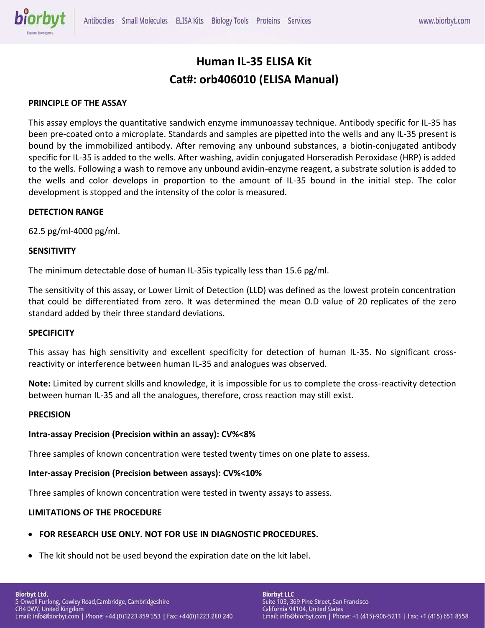# **Human IL-35 ELISA Kit Cat#: orb406010 (ELISA Manual)**

### **PRINCIPLE OF THE ASSAY**

This assay employs the quantitative sandwich enzyme immunoassay technique. Antibody specific for IL-35 has been pre-coated onto a microplate. Standards and samples are pipetted into the wells and any IL-35 present is bound by the immobilized antibody. After removing any unbound substances, a biotin-conjugated antibody specific for IL-35 is added to the wells. After washing, avidin conjugated Horseradish Peroxidase (HRP) is added to the wells. Following a wash to remove any unbound avidin-enzyme reagent, a substrate solution is added to the wells and color develops in proportion to the amount of IL-35 bound in the initial step. The color development is stopped and the intensity of the color is measured.

### **DETECTION RANGE**

62.5 pg/ml-4000 pg/ml.

### **SENSITIVITY**

The minimum detectable dose of human IL-35is typically less than 15.6 pg/ml.

The sensitivity of this assay, or Lower Limit of Detection (LLD) was defined as the lowest protein concentration that could be differentiated from zero. It was determined the mean O.D value of 20 replicates of the zero standard added by their three standard deviations.

#### **SPECIFICITY**

This assay has high sensitivity and excellent specificity for detection of human IL-35. No significant crossreactivity or interference between human IL-35 and analogues was observed.

**Note:** Limited by current skills and knowledge, it is impossible for us to complete the cross-reactivity detection between human IL-35 and all the analogues, therefore, cross reaction may still exist.

#### **PRECISION**

### **Intra-assay Precision (Precision within an assay): CV%<8%**

Three samples of known concentration were tested twenty times on one plate to assess.

### **Inter-assay Precision (Precision between assays): CV%<10%**

Three samples of known concentration were tested in twenty assays to assess.

### **LIMITATIONS OF THE PROCEDURE**

- **FOR RESEARCH USE ONLY. NOT FOR USE IN DIAGNOSTIC PROCEDURES.**
- The kit should not be used beyond the expiration date on the kit label.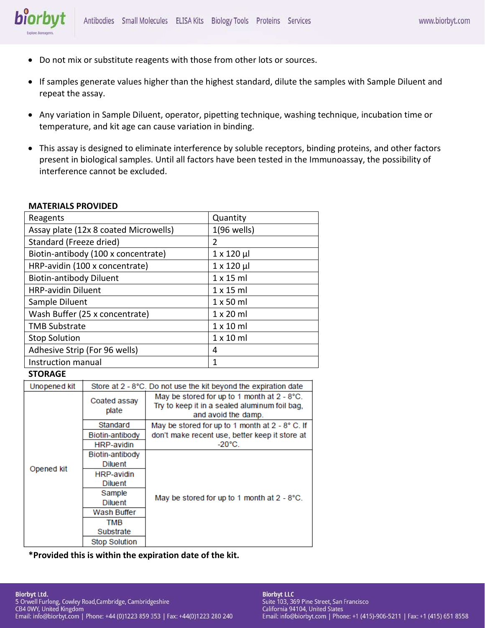- Do not mix or substitute reagents with those from other lots or sources.
- If samples generate values higher than the highest standard, dilute the samples with Sample Diluent and repeat the assay.
- Any variation in Sample Diluent, operator, pipetting technique, washing technique, incubation time or temperature, and kit age can cause variation in binding.
- This assay is designed to eliminate interference by soluble receptors, binding proteins, and other factors present in biological samples. Until all factors have been tested in the Immunoassay, the possibility of interference cannot be excluded.

### **MATERIALS PROVIDED**

biorbyt

| Reagents                              | Quantity           |  |
|---------------------------------------|--------------------|--|
| Assay plate (12x 8 coated Microwells) | $1(96$ wells)      |  |
| Standard (Freeze dried)               | $\overline{2}$     |  |
| Biotin-antibody (100 x concentrate)   | $1 \times 120 \mu$ |  |
| HRP-avidin (100 x concentrate)        | $1 \times 120 \mu$ |  |
| <b>Biotin-antibody Diluent</b>        | $1 \times 15$ ml   |  |
| <b>HRP-avidin Diluent</b>             | $1 \times 15$ ml   |  |
| Sample Diluent                        | $1 \times 50$ ml   |  |
| Wash Buffer (25 x concentrate)        | $1 \times 20$ ml   |  |
| <b>TMB Substrate</b>                  | $1 \times 10$ ml   |  |
| <b>Stop Solution</b>                  | $1 \times 10$ ml   |  |
| Adhesive Strip (For 96 wells)         | 4                  |  |
| Instruction manual                    | 1                  |  |

### **STORAGE**

| Unopened kit | Store at 2 - 8°C. Do not use the kit beyond the expiration date |                                                                                                                     |  |
|--------------|-----------------------------------------------------------------|---------------------------------------------------------------------------------------------------------------------|--|
| Opened kit   | Coated assay<br>plate                                           | May be stored for up to 1 month at 2 - 8°C.<br>Try to keep it in a sealed aluminum foil bag,<br>and avoid the damp. |  |
|              | Standard                                                        | May be stored for up to 1 month at 2 - 8° C. If                                                                     |  |
|              | Biotin-antibody                                                 | don't make recent use, better keep it store at                                                                      |  |
|              | <b>HRP-avidin</b>                                               | $-20^{\circ}$ C.                                                                                                    |  |
|              | Biotin-antibody                                                 |                                                                                                                     |  |
|              | <b>Diluent</b>                                                  |                                                                                                                     |  |
|              | <b>HRP-avidin</b>                                               | May be stored for up to 1 month at 2 - 8°C.                                                                         |  |
|              | Diluent                                                         |                                                                                                                     |  |
|              | Sample                                                          |                                                                                                                     |  |
|              | <b>Diluent</b>                                                  |                                                                                                                     |  |
|              | Wash Buffer                                                     |                                                                                                                     |  |
|              | <b>TMB</b>                                                      |                                                                                                                     |  |
|              | Substrate                                                       |                                                                                                                     |  |
|              | <b>Stop Solution</b>                                            |                                                                                                                     |  |

**\*Provided this is within the expiration date of the kit.**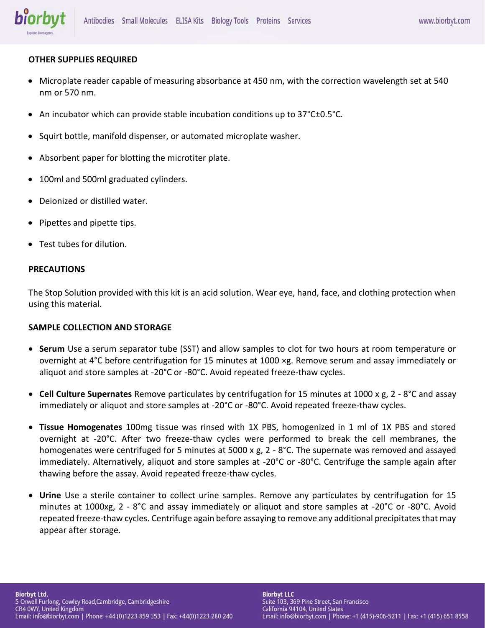# **OTHER SUPPLIES REQUIRED**

- Microplate reader capable of measuring absorbance at 450 nm, with the correction wavelength set at 540 nm or 570 nm.
- An incubator which can provide stable incubation conditions up to 37°C±0.5°C.
- Squirt bottle, manifold dispenser, or automated microplate washer.
- Absorbent paper for blotting the microtiter plate.
- 100ml and 500ml graduated cylinders.
- Deionized or distilled water.
- Pipettes and pipette tips.
- Test tubes for dilution.

# **PRECAUTIONS**

The Stop Solution provided with this kit is an acid solution. Wear eye, hand, face, and clothing protection when using this material.

# **SAMPLE COLLECTION AND STORAGE**

- **Serum** Use a serum separator tube (SST) and allow samples to clot for two hours at room temperature or overnight at 4°C before centrifugation for 15 minutes at 1000 ×g. Remove serum and assay immediately or aliquot and store samples at -20°C or -80°C. Avoid repeated freeze-thaw cycles.
- **Cell Culture Supernates** Remove particulates by centrifugation for 15 minutes at 1000 x g, 2 8°C and assay immediately or aliquot and store samples at -20°C or -80°C. Avoid repeated freeze-thaw cycles.
- **Tissue Homogenates** 100mg tissue was rinsed with 1X PBS, homogenized in 1 ml of 1X PBS and stored overnight at -20°C. After two freeze-thaw cycles were performed to break the cell membranes, the homogenates were centrifuged for 5 minutes at 5000 x g, 2 - 8°C. The supernate was removed and assayed immediately. Alternatively, aliquot and store samples at -20°C or -80°C. Centrifuge the sample again after thawing before the assay. Avoid repeated freeze-thaw cycles.
- **Urine** Use a sterile container to collect urine samples. Remove any particulates by centrifugation for 15 minutes at 1000xg, 2 - 8°C and assay immediately or aliquot and store samples at -20°C or -80°C. Avoid repeated freeze-thaw cycles. Centrifuge again before assaying to remove any additional precipitates that may appear after storage.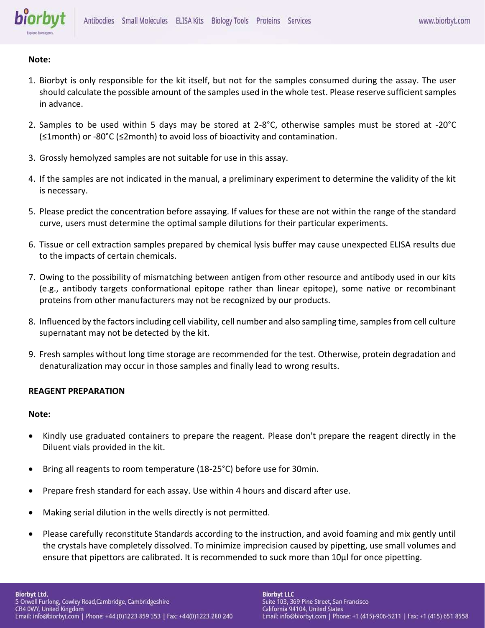

### **Note:**

- 1. Biorbyt is only responsible for the kit itself, but not for the samples consumed during the assay. The user should calculate the possible amount of the samples used in the whole test. Please reserve sufficient samples in advance.
- 2. Samples to be used within 5 days may be stored at 2-8°C, otherwise samples must be stored at -20°C (≤1month) or -80°C (≤2month) to avoid loss of bioactivity and contamination.
- 3. Grossly hemolyzed samples are not suitable for use in this assay.
- 4. If the samples are not indicated in the manual, a preliminary experiment to determine the validity of the kit is necessary.
- 5. Please predict the concentration before assaying. If values for these are not within the range of the standard curve, users must determine the optimal sample dilutions for their particular experiments.
- 6. Tissue or cell extraction samples prepared by chemical lysis buffer may cause unexpected ELISA results due to the impacts of certain chemicals.
- 7. Owing to the possibility of mismatching between antigen from other resource and antibody used in our kits (e.g., antibody targets conformational epitope rather than linear epitope), some native or recombinant proteins from other manufacturers may not be recognized by our products.
- 8. Influenced by the factors including cell viability, cell number and also sampling time, samples from cell culture supernatant may not be detected by the kit.
- 9. Fresh samples without long time storage are recommended for the test. Otherwise, protein degradation and denaturalization may occur in those samples and finally lead to wrong results.

### **REAGENT PREPARATION**

### **Note:**

- Kindly use graduated containers to prepare the reagent. Please don't prepare the reagent directly in the Diluent vials provided in the kit.
- Bring all reagents to room temperature (18-25°C) before use for 30min.
- Prepare fresh standard for each assay. Use within 4 hours and discard after use.
- Making serial dilution in the wells directly is not permitted.
- Please carefully reconstitute Standards according to the instruction, and avoid foaming and mix gently until the crystals have completely dissolved. To minimize imprecision caused by pipetting, use small volumes and ensure that pipettors are calibrated. It is recommended to suck more than 10μl for once pipetting.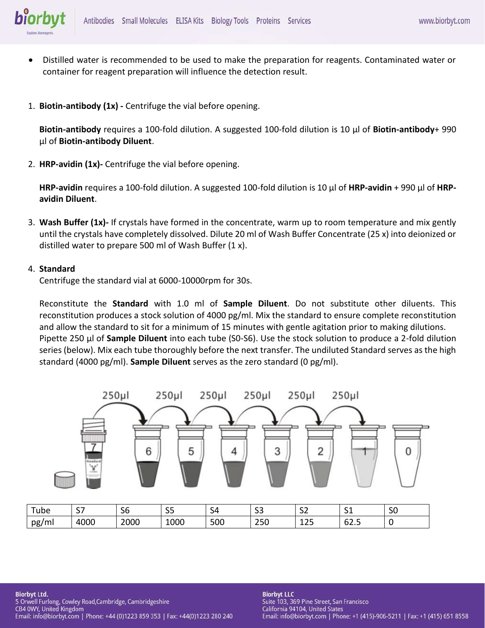

- Distilled water is recommended to be used to make the preparation for reagents. Contaminated water or container for reagent preparation will influence the detection result.
- 1. **Biotin-antibody (1x) -** Centrifuge the vial before opening.

**Biotin-antibody** requires a 100-fold dilution. A suggested 100-fold dilution is 10 μl of **Biotin-antibody**+ 990 μl of **Biotin-antibody Diluent**.

2. **HRP-avidin (1x)-** Centrifuge the vial before opening.

**HRP-avidin** requires a 100-fold dilution. A suggested 100-fold dilution is 10 μl of **HRP-avidin** + 990 μl of **HRPavidin Diluent**.

3. **Wash Buffer (1x)-** If crystals have formed in the concentrate, warm up to room temperature and mix gently until the crystals have completely dissolved. Dilute 20 ml of Wash Buffer Concentrate (25 x) into deionized or distilled water to prepare 500 ml of Wash Buffer (1 x).

### 4. **Standard**

Centrifuge the standard vial at 6000-10000rpm for 30s.

Reconstitute the **Standard** with 1.0 ml of **Sample Diluent**. Do not substitute other diluents. This reconstitution produces a stock solution of 4000 pg/ml. Mix the standard to ensure complete reconstitution and allow the standard to sit for a minimum of 15 minutes with gentle agitation prior to making dilutions. Pipette 250 μl of **Sample Diluent** into each tube (S0-S6). Use the stock solution to produce a 2-fold dilution series (below). Mix each tube thoroughly before the next transfer. The undiluted Standard serves as the high standard (4000 pg/ml). **Sample Diluent** serves as the zero standard (0 pg/ml).

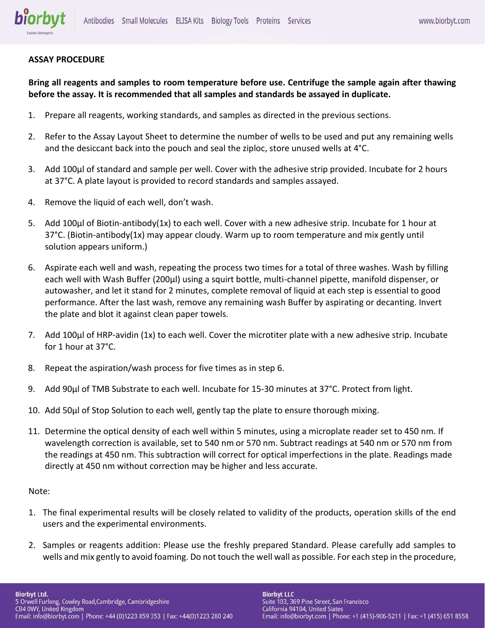

### **ASSAY PROCEDURE**

**Bring all reagents and samples to room temperature before use. Centrifuge the sample again after thawing before the assay. It is recommended that all samples and standards be assayed in duplicate.** 

- 1. Prepare all reagents, working standards, and samples as directed in the previous sections.
- 2. Refer to the Assay Layout Sheet to determine the number of wells to be used and put any remaining wells and the desiccant back into the pouch and seal the ziploc, store unused wells at 4°C.
- 3. Add 100μl of standard and sample per well. Cover with the adhesive strip provided. Incubate for 2 hours at 37°C. A plate layout is provided to record standards and samples assayed.
- 4. Remove the liquid of each well, don't wash.
- 5. Add 100μl of Biotin-antibody(1x) to each well. Cover with a new adhesive strip. Incubate for 1 hour at 37°C. (Biotin-antibody(1x) may appear cloudy. Warm up to room temperature and mix gently until solution appears uniform.)
- 6. Aspirate each well and wash, repeating the process two times for a total of three washes. Wash by filling each well with Wash Buffer (200μl) using a squirt bottle, multi-channel pipette, manifold dispenser, or autowasher, and let it stand for 2 minutes, complete removal of liquid at each step is essential to good performance. After the last wash, remove any remaining wash Buffer by aspirating or decanting. Invert the plate and blot it against clean paper towels.
- 7. Add 100μl of HRP-avidin (1x) to each well. Cover the microtiter plate with a new adhesive strip. Incubate for 1 hour at 37°C.
- 8. Repeat the aspiration/wash process for five times as in step 6.
- 9. Add 90μl of TMB Substrate to each well. Incubate for 15-30 minutes at 37°C. Protect from light.
- 10. Add 50μl of Stop Solution to each well, gently tap the plate to ensure thorough mixing.
- 11. Determine the optical density of each well within 5 minutes, using a microplate reader set to 450 nm. If wavelength correction is available, set to 540 nm or 570 nm. Subtract readings at 540 nm or 570 nm from the readings at 450 nm. This subtraction will correct for optical imperfections in the plate. Readings made directly at 450 nm without correction may be higher and less accurate.

### Note:

- 1. The final experimental results will be closely related to validity of the products, operation skills of the end users and the experimental environments.
- 2. Samples or reagents addition: Please use the freshly prepared Standard. Please carefully add samples to wells and mix gently to avoid foaming. Do not touch the well wall as possible. For each step in the procedure,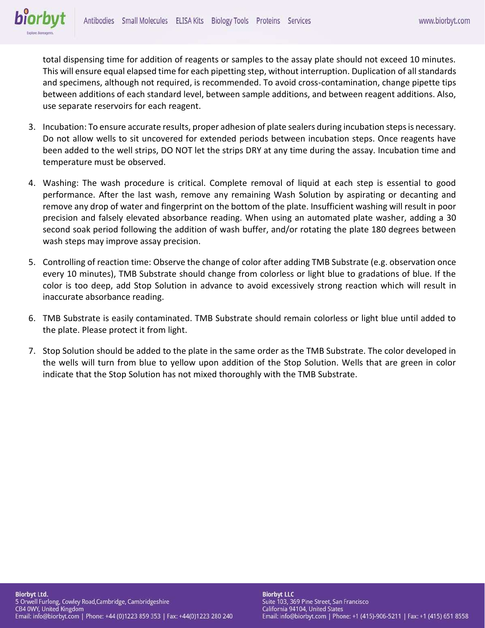total dispensing time for addition of reagents or samples to the assay plate should not exceed 10 minutes. This will ensure equal elapsed time for each pipetting step, without interruption. Duplication of all standards and specimens, although not required, is recommended. To avoid cross-contamination, change pipette tips between additions of each standard level, between sample additions, and between reagent additions. Also, use separate reservoirs for each reagent.

- 3. Incubation: To ensure accurate results, proper adhesion of plate sealers during incubation steps is necessary. Do not allow wells to sit uncovered for extended periods between incubation steps. Once reagents have been added to the well strips, DO NOT let the strips DRY at any time during the assay. Incubation time and temperature must be observed.
- 4. Washing: The wash procedure is critical. Complete removal of liquid at each step is essential to good performance. After the last wash, remove any remaining Wash Solution by aspirating or decanting and remove any drop of water and fingerprint on the bottom of the plate. Insufficient washing will result in poor precision and falsely elevated absorbance reading. When using an automated plate washer, adding a 30 second soak period following the addition of wash buffer, and/or rotating the plate 180 degrees between wash steps may improve assay precision.
- 5. Controlling of reaction time: Observe the change of color after adding TMB Substrate (e.g. observation once every 10 minutes), TMB Substrate should change from colorless or light blue to gradations of blue. If the color is too deep, add Stop Solution in advance to avoid excessively strong reaction which will result in inaccurate absorbance reading.
- 6. TMB Substrate is easily contaminated. TMB Substrate should remain colorless or light blue until added to the plate. Please protect it from light.
- 7. Stop Solution should be added to the plate in the same order as the TMB Substrate. The color developed in the wells will turn from blue to yellow upon addition of the Stop Solution. Wells that are green in color indicate that the Stop Solution has not mixed thoroughly with the TMB Substrate.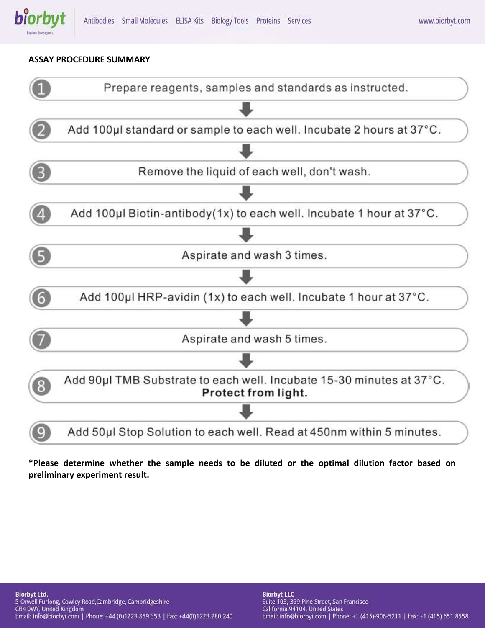

### **ASSAY PROCEDURE SUMMARY**



**\*Please determine whether the sample needs to be diluted or the optimal dilution factor based on preliminary experiment result.**